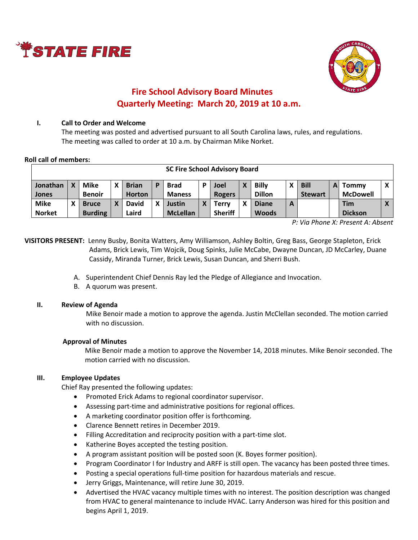



# **Fire School Advisory Board Minutes Quarterly Meeting: March 20, 2019 at 10 a.m.**

# **I. Call to Order and Welcome**

The meeting was posted and advertised pursuant to all South Carolina laws, rules, and regulations. The meeting was called to order at 10 a.m. by Chairman Mike Norket.

#### **Roll call of members:**

| <b>SC Fire School Advisory Board</b> |  |                                |   |                               |   |                              |   |                                |   |                               |   |                               |   |                              |  |
|--------------------------------------|--|--------------------------------|---|-------------------------------|---|------------------------------|---|--------------------------------|---|-------------------------------|---|-------------------------------|---|------------------------------|--|
| Jonathan<br>Jones                    |  | <b>Mike</b><br><b>Benoir</b>   | χ | <b>Brian</b><br><b>Horton</b> | P | <b>Brad</b><br><b>Maness</b> | D | Joel<br><b>Rogers</b>          | χ | <b>Billy</b><br><b>Dillon</b> |   | <b>Bill</b><br><b>Stewart</b> | A | Tommy<br><b>McDowell</b>     |  |
| <b>Mike</b><br><b>Norket</b>         |  | <b>Bruce</b><br><b>Burding</b> | v | <b>David</b><br>Laird         | X | Justin<br><b>McLellan</b>    | X | <b>Terry</b><br><b>Sheriff</b> | χ | <b>Diane</b><br><b>Woods</b>  | A |                               |   | <b>Tim</b><br><b>Dickson</b> |  |

*P: Via Phone X: Present A: Absent*

**VISITORS PRESENT:** Lenny Busby, Bonita Watters, Amy Williamson, Ashley Boltin, Greg Bass, George Stapleton, Erick Adams, Brick Lewis, Tim Wojcik, Doug Spinks, Julie McCabe, Dwayne Duncan, JD McCarley, Duane Cassidy, Miranda Turner, Brick Lewis, Susan Duncan, and Sherri Bush.

- A. Superintendent Chief Dennis Ray led the Pledge of Allegiance and Invocation.
- B. A quorum was present.

# **II. Review of Agenda**

Mike Benoir made a motion to approve the agenda. Justin McClellan seconded. The motion carried with no discussion.

# **Approval of Minutes**

Mike Benoir made a motion to approve the November 14, 2018 minutes. Mike Benoir seconded. The motion carried with no discussion.

# **III. Employee Updates**

Chief Ray presented the following updates:

- Promoted Erick Adams to regional coordinator supervisor.
- Assessing part-time and administrative positions for regional offices.
- A marketing coordinator position offer is forthcoming.
- Clarence Bennett retires in December 2019.
- Filling Accreditation and reciprocity position with a part-time slot.
- Katherine Boyes accepted the testing position.
- A program assistant position will be posted soon (K. Boyes former position).
- Program Coordinator I for Industry and ARFF is still open. The vacancy has been posted three times.
- Posting a special operations full-time position for hazardous materials and rescue.
- Jerry Griggs, Maintenance, will retire June 30, 2019.
- Advertised the HVAC vacancy multiple times with no interest. The position description was changed from HVAC to general maintenance to include HVAC. Larry Anderson was hired for this position and begins April 1, 2019.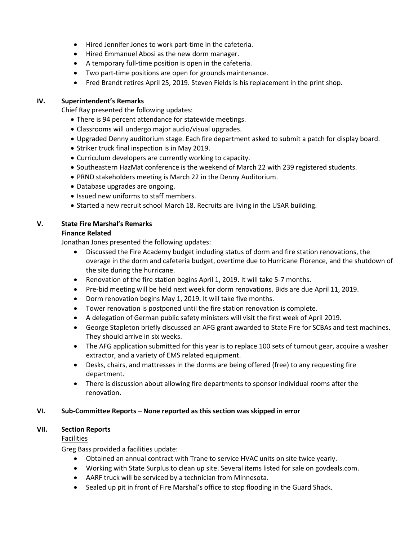- Hired Jennifer Jones to work part-time in the cafeteria.
- Hired Emmanuel Abosi as the new dorm manager.
- A temporary full-time position is open in the cafeteria.
- Two part-time positions are open for grounds maintenance.
- Fred Brandt retires April 25, 2019. Steven Fields is his replacement in the print shop.

# **IV. Superintendent's Remarks**

Chief Ray presented the following updates:

- There is 94 percent attendance for statewide meetings.
- Classrooms will undergo major audio/visual upgrades.
- Upgraded Denny auditorium stage. Each fire department asked to submit a patch for display board.
- Striker truck final inspection is in May 2019.
- Curriculum developers are currently working to capacity.
- Southeastern HazMat conference is the weekend of March 22 with 239 registered students.
- PRND stakeholders meeting is March 22 in the Denny Auditorium.
- Database upgrades are ongoing.
- Issued new uniforms to staff members.
- Started a new recruit school March 18. Recruits are living in the USAR building.

# **V. State Fire Marshal's Remarks**

# **Finance Related**

Jonathan Jones presented the following updates:

- Discussed the Fire Academy budget including status of dorm and fire station renovations, the overage in the dorm and cafeteria budget, overtime due to Hurricane Florence, and the shutdown of the site during the hurricane.
- Renovation of the fire station begins April 1, 2019. It will take 5-7 months.
- Pre-bid meeting will be held next week for dorm renovations. Bids are due April 11, 2019.
- Dorm renovation begins May 1, 2019. It will take five months.
- Tower renovation is postponed until the fire station renovation is complete.
- A delegation of German public safety ministers will visit the first week of April 2019.
- George Stapleton briefly discussed an AFG grant awarded to State Fire for SCBAs and test machines. They should arrive in six weeks.
- The AFG application submitted for this year is to replace 100 sets of turnout gear, acquire a washer extractor, and a variety of EMS related equipment.
- Desks, chairs, and mattresses in the dorms are being offered (free) to any requesting fire department.
- There is discussion about allowing fire departments to sponsor individual rooms after the renovation.

# **VI. Sub-Committee Reports – None reported as this section was skipped in error**

# **VII. Section Reports**

# Facilities

Greg Bass provided a facilities update:

- Obtained an annual contract with Trane to service HVAC units on site twice yearly.
- Working with State Surplus to clean up site. Several items listed for sale on govdeals.com.
- AARF truck will be serviced by a technician from Minnesota.
- Sealed up pit in front of Fire Marshal's office to stop flooding in the Guard Shack.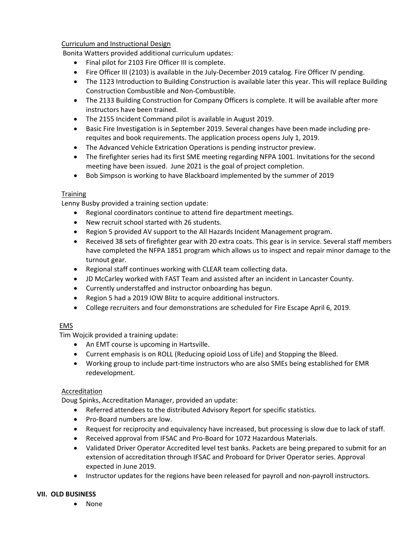# Curriculum and Instructional Design

Bonita Watters provided additional curriculum updates:

- Final pilot for 2103 Fire Officer III is complete.
- Fire Officer III (2103) is available in the July-December 2019 catalog. Fire Officer IV pending.
- The 1123 Introduction to Building Construction is available later this year. This will replace Building Construction Combustible and Non-Combustible.
- The 2133 Building Construction for Company Officers is complete. It will be available after more instructors have been trained.
- The 2155 Incident Command pilot is available in August 2019.
- Basic Fire Investigation is in September 2019. Several changes have been made including prerequites and book requirements. The application process opens July 1, 2019.
- The Advanced Vehicle Extrication Operations is pending instructor preview.
- The firefighter series had its first SME meeting regarding NFPA 1001. Invitations for the second meeting have been issued. June 2021 is the goal of project completion.
- Bob Simpson is working to have Blackboard implemented by the summer of 2019

# **Training**

Lenny Busby provided a training section update:

- Regional coordinators continue to attend fire department meetings.
- New recruit school started with 26 students.
- Region 5 provided AV support to the All Hazards Incident Management program.
- Received 38 sets of firefighter gear with 20 extra coats. This gear is in service. Several staff members have completed the NFPA 1851 program which allows us to inspect and repair minor damage to the turnout gear.
- Regional staff continues working with CLEAR team collecting data.
- JD McCarley worked with FAST Team and assisted after an incident in Lancaster County.
- Currently understaffed and instructor onboarding has begun.
- Region 5 had a 2019 IOW Blitz to acquire additional instructors.
- College recruiters and four demonstrations are scheduled for Fire Escape April 6, 2019.

# EMS

Tim Wojcik provided a training update:

- An EMT course is upcoming in Hartsville.
- Current emphasis is on ROLL (Reducing opioid Loss of Life) and Stopping the Bleed.
- Working group to include part-time instructors who are also SMEs being established for EMR redevelopment.

# **Accreditation**

Doug Spinks, Accreditation Manager, provided an update:

- Referred attendees to the distributed Advisory Report for specific statistics.
- Pro-Board numbers are low.
- Request for reciprocity and equivalency have increased, but processing is slow due to lack of staff.
- Received approval from IFSAC and Pro-Board for 1072 Hazardous Materials.
- Validated Driver Operator Accredited level test banks. Packets are being prepared to submit for an extension of accreditation through IFSAC and Proboard for Driver Operator series. Approval expected in June 2019.
- Instructor updates for the regions have been released for payroll and non-payroll instructors.

# **VII. OLD BUSINESS**

None